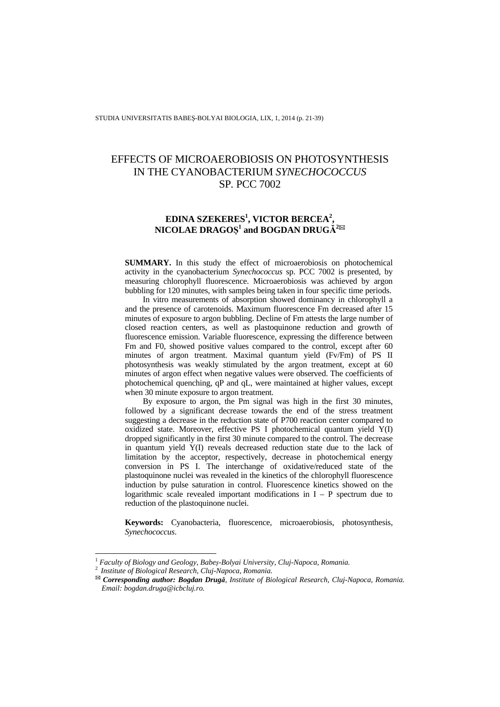# EFFECTS OF MICROAEROBIOSIS ON PHOTOSYNTHESIS IN THE CYANOBACTERIUM *SYNECHOCOCCUS*  SP*.* PCC 7002

## **EDINA SZEKERES1 , VICTOR BERCEA2 ,**   $NICOLAE DRAGO$ § $^1$  and BOGDAN DRUG $\rm \AA^{282}$

**SUMMARY.** In this study the effect of microaerobiosis on photochemical activity in the cyanobacterium *Synechococcus* sp. PCC 7002 is presented, by measuring chlorophyll fluorescence. Microaerobiosis was achieved by argon bubbling for 120 minutes, with samples being taken in four specific time periods.

In vitro measurements of absorption showed dominancy in chlorophyll a and the presence of carotenoids. Maximum fluorescence Fm decreased after 15 minutes of exposure to argon bubbling. Decline of Fm attests the large number of closed reaction centers, as well as plastoquinone reduction and growth of fluorescence emission. Variable fluorescence, expressing the difference between Fm and F0, showed positive values compared to the control, except after 60 minutes of argon treatment. Maximal quantum yield (Fv/Fm) of PS II photosynthesis was weakly stimulated by the argon treatment, except at 60 minutes of argon effect when negative values were observed. The coefficients of photochemical quenching, qP and qL, were maintained at higher values, except when 30 minute exposure to argon treatment.

By exposure to argon, the Pm signal was high in the first 30 minutes, followed by a significant decrease towards the end of the stress treatment suggesting a decrease in the reduction state of P700 reaction center compared to oxidized state. Moreover, effective PS I photochemical quantum yield Y(I) dropped significantly in the first 30 minute compared to the control. The decrease in quantum yield Y(I) reveals decreased reduction state due to the lack of limitation by the acceptor, respectively, decrease in photochemical energy conversion in PS I. The interchange of oxidative/reduced state of the plastoquinone nuclei was revealed in the kinetics of the chlorophyll fluorescence induction by pulse saturation in control. Fluorescence kinetics showed on the logarithmic scale revealed important modifications in  $I - P$  spectrum due to reduction of the plastoquinone nuclei.

**Keywords:** Cyanobacteria, fluorescence, microaerobiosis, photosynthesis, *Synechococcus*.

l

<sup>1</sup> *Faculty of Biology and Geology, Babeș-Bolyai University, Cluj-Napoca, Romania.* <sup>2</sup>*Institute of Biological Research, Cluj-Napoca, Romania.* 

*Corresponding author: Bogdan Drugă, Institute of Biological Research, Cluj-Napoca, Romania. Email: bogdan.druga@icbcluj.ro.*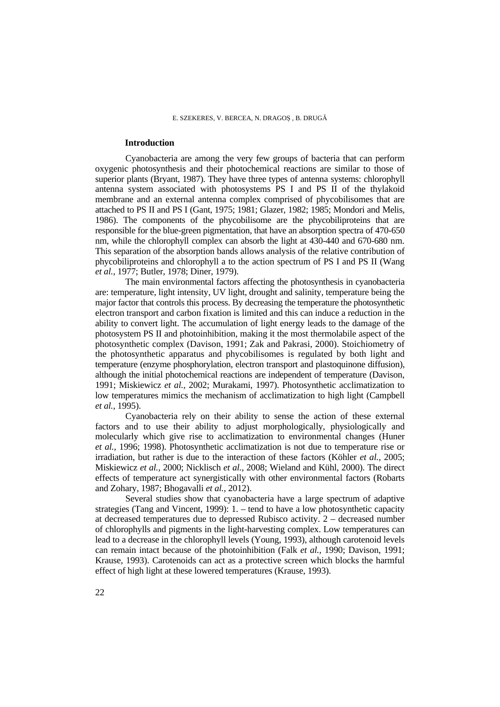## **Introduction**

Cyanobacteria are among the very few groups of bacteria that can perform oxygenic photosynthesis and their photochemical reactions are similar to those of superior plants (Bryant, 1987). They have three types of antenna systems: chlorophyll antenna system associated with photosystems PS I and PS II of the thylakoid membrane and an external antenna complex comprised of phycobilisomes that are attached to PS II and PS I (Gant, 1975; 1981; Glazer, 1982; 1985; Mondori and Melis, 1986). The components of the phycobilisome are the phycobiliproteins that are responsible for the blue-green pigmentation, that have an absorption spectra of 470-650 nm, while the chlorophyll complex can absorb the light at 430-440 and 670-680 nm. This separation of the absorption bands allows analysis of the relative contribution of phycobiliproteins and chlorophyll a to the action spectrum of PS I and PS II (Wang *et al.,* 1977; Butler, 1978; Diner, 1979).

The main environmental factors affecting the photosynthesis in cyanobacteria are: temperature, light intensity, UV light, drought and salinity, temperature being the major factor that controls this process. By decreasing the temperature the photosynthetic electron transport and carbon fixation is limited and this can induce a reduction in the ability to convert light. The accumulation of light energy leads to the damage of the photosystem PS II and photoinhibition, making it the most thermolabile aspect of the photosynthetic complex (Davison, 1991; Zak and Pakrasi, 2000). Stoichiometry of the photosynthetic apparatus and phycobilisomes is regulated by both light and temperature (enzyme phosphorylation, electron transport and plastoquinone diffusion), although the initial photochemical reactions are independent of temperature (Davison, 1991; Miskiewicz *et al.,* 2002; Murakami, 1997). Photosynthetic acclimatization to low temperatures mimics the mechanism of acclimatization to high light (Campbell *et al.,* 1995).

Cyanobacteria rely on their ability to sense the action of these external factors and to use their ability to adjust morphologically, physiologically and molecularly which give rise to acclimatization to environmental changes (Huner *et al.,* 1996; 1998). Photosynthetic acclimatization is not due to temperature rise or irradiation, but rather is due to the interaction of these factors (Köhler *et al.,* 2005; Miskiewicz *et al.,* 2000; Nicklisch *et al.,* 2008; Wieland and Kühl, 2000). The direct effects of temperature act synergistically with other environmental factors (Robarts and Zohary, 1987; Bhogavalli *et al.,* 2012).

Several studies show that cyanobacteria have a large spectrum of adaptive strategies (Tang and Vincent, 1999): 1. – tend to have a low photosynthetic capacity at decreased temperatures due to depressed Rubisco activity. 2 – decreased number of chlorophylls and pigments in the light-harvesting complex. Low temperatures can lead to a decrease in the chlorophyll levels (Young, 1993), although carotenoid levels can remain intact because of the photoinhibition (Falk *et al.,* 1990; Davison, 1991; Krause, 1993). Carotenoids can act as a protective screen which blocks the harmful effect of high light at these lowered temperatures (Krause, 1993).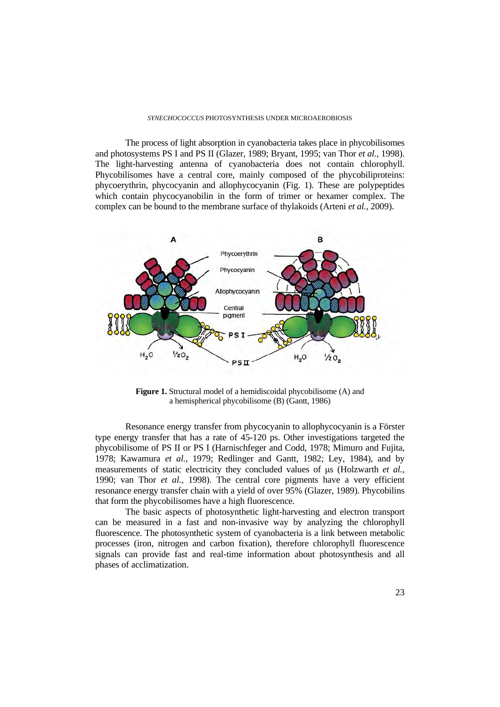#### *SYNECHOCOCCUS* PHOTOSYNTHESIS UNDER MICROAEROBIOSIS

The process of light absorption in cyanobacteria takes place in phycobilisomes and photosystems PS I and PS II (Glazer, 1989; Bryant, 1995; van Thor *et al.,* 1998). The light-harvesting antenna of cyanobacteria does not contain chlorophyll. Phycobilisomes have a central core, mainly composed of the phycobiliproteins: phycoerythrin, phycocyanin and allophycocyanin (Fig. 1). These are polypeptides which contain phycocyanobilin in the form of trimer or hexamer complex. The complex can be bound to the membrane surface of thylakoids (Arteni *et al.,* 2009).



**Figure 1.** Structural model of a hemidiscoidal phycobilisome (A) and a hemispherical phycobilisome (B) (Gantt, 1986)

Resonance energy transfer from phycocyanin to allophycocyanin is a Förster type energy transfer that has a rate of 45-120 ps. Other investigations targeted the phycobilisome of PS II or PS I (Harnischfeger and Codd, 1978; Mimuro and Fujita, 1978; Kawamura *et al.,* 1979; Redlinger and Gantt, 1982; Ley, 1984), and by measurements of static electricity they concluded values of μs (Holzwarth *et al.,*  1990; van Thor *et al.,* 1998). The central core pigments have a very efficient resonance energy transfer chain with a yield of over 95% (Glazer, 1989). Phycobilins that form the phycobilisomes have a high fluorescence.

The basic aspects of photosynthetic light-harvesting and electron transport can be measured in a fast and non-invasive way by analyzing the chlorophyll fluorescence. The photosynthetic system of cyanobacteria is a link between metabolic processes (iron, nitrogen and carbon fixation), therefore chlorophyll fluorescence signals can provide fast and real-time information about photosynthesis and all phases of acclimatization.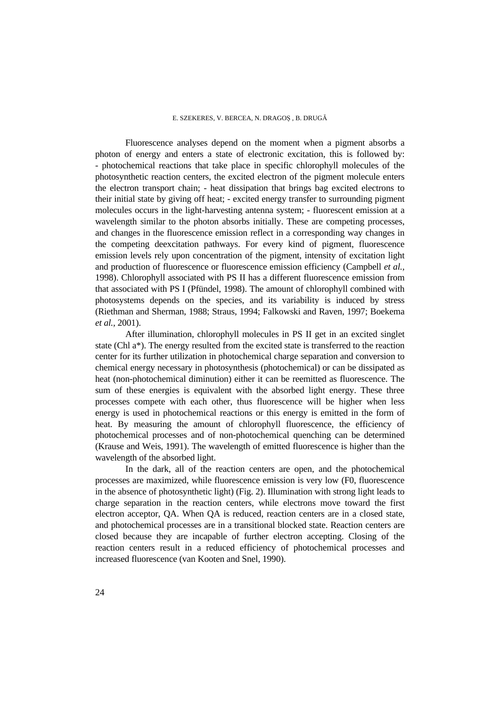Fluorescence analyses depend on the moment when a pigment absorbs a photon of energy and enters a state of electronic excitation, this is followed by: - photochemical reactions that take place in specific chlorophyll molecules of the photosynthetic reaction centers, the excited electron of the pigment molecule enters the electron transport chain; - heat dissipation that brings bag excited electrons to their initial state by giving off heat; - excited energy transfer to surrounding pigment molecules occurs in the light-harvesting antenna system; - fluorescent emission at a wavelength similar to the photon absorbs initially. These are competing processes, and changes in the fluorescence emission reflect in a corresponding way changes in the competing deexcitation pathways. For every kind of pigment, fluorescence emission levels rely upon concentration of the pigment, intensity of excitation light and production of fluorescence or fluorescence emission efficiency (Campbell *et al.,*  1998). Chlorophyll associated with PS II has a different fluorescence emission from that associated with PS I (Pfündel, 1998). The amount of chlorophyll combined with photosystems depends on the species, and its variability is induced by stress (Riethman and Sherman, 1988; Straus, 1994; Falkowski and Raven, 1997; Boekema *et al.,* 2001).

After illumination, chlorophyll molecules in PS II get in an excited singlet state (Chl a\*). The energy resulted from the excited state is transferred to the reaction center for its further utilization in photochemical charge separation and conversion to chemical energy necessary in photosynthesis (photochemical) or can be dissipated as heat (non-photochemical diminution) either it can be reemitted as fluorescence. The sum of these energies is equivalent with the absorbed light energy. These three processes compete with each other, thus fluorescence will be higher when less energy is used in photochemical reactions or this energy is emitted in the form of heat. By measuring the amount of chlorophyll fluorescence, the efficiency of photochemical processes and of non-photochemical quenching can be determined (Krause and Weis, 1991). The wavelength of emitted fluorescence is higher than the wavelength of the absorbed light.

In the dark, all of the reaction centers are open, and the photochemical processes are maximized, while fluorescence emission is very low (F0, fluorescence in the absence of photosynthetic light) (Fig. 2). Illumination with strong light leads to charge separation in the reaction centers, while electrons move toward the first electron acceptor, QA. When QA is reduced, reaction centers are in a closed state, and photochemical processes are in a transitional blocked state. Reaction centers are closed because they are incapable of further electron accepting. Closing of the reaction centers result in a reduced efficiency of photochemical processes and increased fluorescence (van Kooten and Snel, 1990).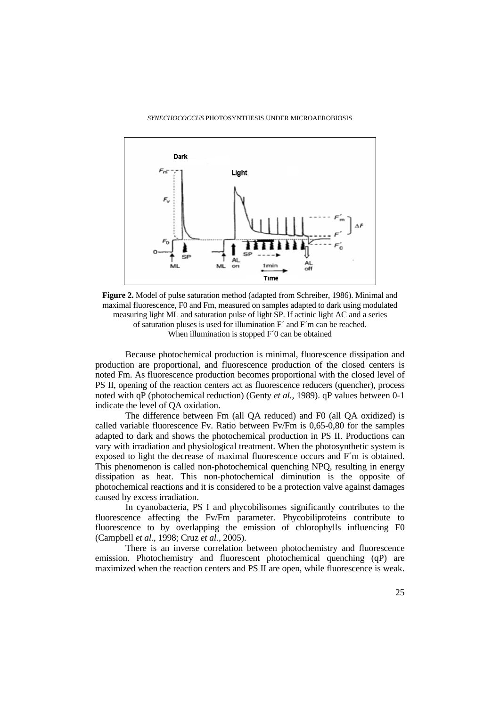

**Figure 2.** Model of pulse saturation method (adapted from Schreiber, 1986). Minimal and maximal fluorescence, F0 and Fm, measured on samples adapted to dark using modulated measuring light ML and saturation pulse of light SP. If actinic light AC and a series of saturation pluses is used for illumination F´ and F´m can be reached. When illumination is stopped F<sup>7</sup>0 can be obtained

Because photochemical production is minimal, fluorescence dissipation and production are proportional, and fluorescence production of the closed centers is noted Fm. As fluorescence production becomes proportional with the closed level of PS II, opening of the reaction centers act as fluorescence reducers (quencher), process noted with qP (photochemical reduction) (Genty *et al.,* 1989). qP values between 0-1 indicate the level of QA oxidation.

The difference between Fm (all QA reduced) and F0 (all QA oxidized) is called variable fluorescence Fv. Ratio between Fv/Fm is 0,65-0,80 for the samples adapted to dark and shows the photochemical production in PS II. Productions can vary with irradiation and physiological treatment. When the photosynthetic system is exposed to light the decrease of maximal fluorescence occurs and F´m is obtained. This phenomenon is called non-photochemical quenching NPQ, resulting in energy dissipation as heat. This non-photochemical diminution is the opposite of photochemical reactions and it is considered to be a protection valve against damages caused by excess irradiation.

In cyanobacteria, PS I and phycobilisomes significantly contributes to the fluorescence affecting the Fv/Fm parameter. Phycobiliproteins contribute to fluorescence to by overlapping the emission of chlorophylls influencing F0 (Campbell *et al*., 1998; Cruz *et al.,* 2005).

There is an inverse correlation between photochemistry and fluorescence emission. Photochemistry and fluorescent photochemical quenching (qP) are maximized when the reaction centers and PS II are open, while fluorescence is weak.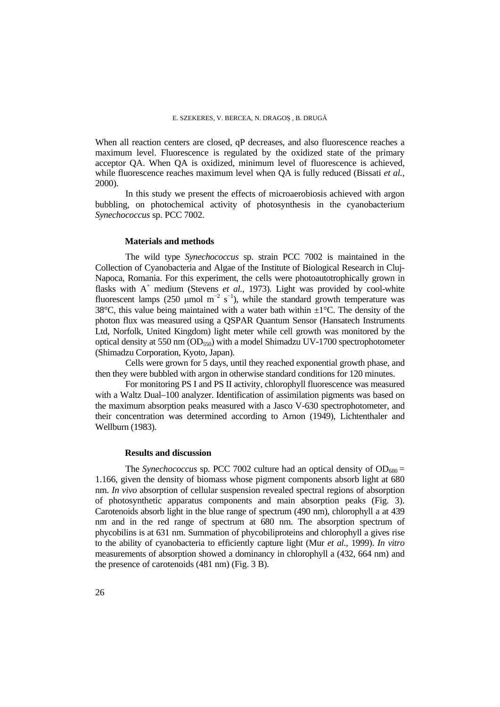When all reaction centers are closed, qP decreases, and also fluorescence reaches a maximum level. Fluorescence is regulated by the oxidized state of the primary acceptor QA. When QA is oxidized, minimum level of fluorescence is achieved, while fluorescence reaches maximum level when QA is fully reduced (Bissati *et al.,* 2000).

In this study we present the effects of microaerobiosis achieved with argon bubbling, on photochemical activity of photosynthesis in the cyanobacterium *Synechococcus* sp. PCC 7002.

#### **Materials and methods**

The wild type *Synechococcus* sp. strain PCC 7002 is maintained in the Collection of Cyanobacteria and Algae of the Institute of Biological Research in Cluj-Napoca, Romania. For this experiment, the cells were photoautotrophically grown in flasks with  $A^+$  medium (Stevens *et al.*, 1973). Light was provided by cool-white fluorescent lamps (250 µmol m<sup>-2</sup> s<sup>-1</sup>), while the standard growth temperature was 38°C, this value being maintained with a water bath within  $\pm 1$ °C. The density of the photon flux was measured using a QSPAR Quantum Sensor (Hansatech Instruments Ltd, Norfolk, United Kingdom) light meter while cell growth was monitored by the optical density at 550 nm  $OD_{550}$ ) with a model Shimadzu UV-1700 spectrophotometer (Shimadzu Corporation, Kyoto, Japan).

Cells were grown for 5 days, until they reached exponential growth phase, and then they were bubbled with argon in otherwise standard conditions for 120 minutes.

For monitoring PS I and PS II activity, chlorophyll fluorescence was measured with a Waltz Dual–100 analyzer. Identification of assimilation pigments was based on the maximum absorption peaks measured with a Jasco V-630 spectrophotometer, and their concentration was determined according to Arnon (1949), Lichtenthaler and Wellburn (1983).

## **Results and discussion**

The *Synechococcus* sp. PCC 7002 culture had an optical density of  $OD_{680} =$ 1.166, given the density of biomass whose pigment components absorb light at 680 nm. *In vivo* absorption of cellular suspension revealed spectral regions of absorption of photosynthetic apparatus components and main absorption peaks (Fig. 3). Carotenoids absorb light in the blue range of spectrum (490 nm), chlorophyll a at 439 nm and in the red range of spectrum at 680 nm. The absorption spectrum of phycobilins is at 631 nm. Summation of phycobiliproteins and chlorophyll a gives rise to the ability of cyanobacteria to efficiently capture light (Mur *et al.,* 1999). *In vitro* measurements of absorption showed a dominancy in chlorophyll a (432, 664 nm) and the presence of carotenoids (481 nm) (Fig. 3 B).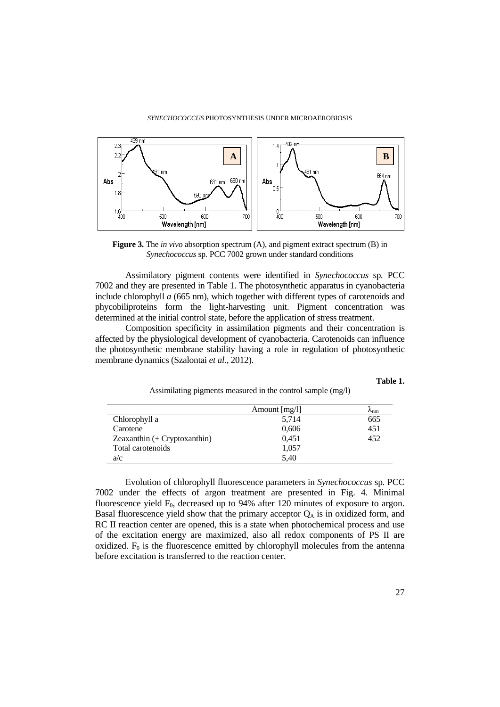

**Figure 3.** The *in vivo* absorption spectrum (A), and pigment extract spectrum (B) in *Synechococcus* sp*.* PCC 7002 grown under standard conditions

Assimilatory pigment contents were identified in *Synechococcus* sp*.* PCC 7002 and they are presented in Table 1. The photosynthetic apparatus in cyanobacteria include chlorophyll *a* (665 nm), which together with different types of carotenoids and phycobiliproteins form the light-harvesting unit. Pigment concentration was determined at the initial control state, before the application of stress treatment.

Composition specificity in assimilation pigments and their concentration is affected by the physiological development of cyanobacteria. Carotenoids can influence the photosynthetic membrane stability having a role in regulation of photosynthetic membrane dynamics (Szalontai *et al.,* 2012).

**Table 1.**

| Assimilating pigments measured in the control sample (mg/l) |  |  |  |
|-------------------------------------------------------------|--|--|--|

|                                 | Amount $[mg/l]$ | $r_{nm}$ |
|---------------------------------|-----------------|----------|
| Chlorophyll a                   | 5,714           | 665      |
| Carotene                        | 0,606           | 451      |
| Zeaxanthin $(+)$ Cryptoxanthin) | 0,451           | 452      |
| Total carotenoids               | 1,057           |          |
| a/c                             | 5.40            |          |

Evolution of chlorophyll fluorescence parameters in *Synechococcus* sp*.* PCC 7002 under the effects of argon treatment are presented in Fig. 4. Minimal fluorescence yield  $F_0$ , decreased up to 94% after 120 minutes of exposure to argon. Basal fluorescence yield show that the primary acceptor  $Q<sub>A</sub>$  is in oxidized form, and RC II reaction center are opened, this is a state when photochemical process and use of the excitation energy are maximized, also all redox components of PS II are oxidized.  $F_0$  is the fluorescence emitted by chlorophyll molecules from the antenna before excitation is transferred to the reaction center.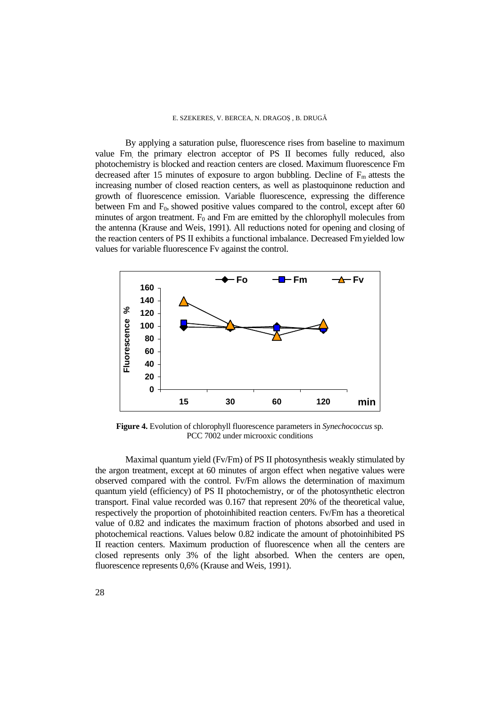By applying a saturation pulse, fluorescence rises from baseline to maximum value Fm, the primary electron acceptor of PS II becomes fully reduced, also photochemistry is blocked and reaction centers are closed. Maximum fluorescence Fm decreased after 15 minutes of exposure to argon bubbling. Decline of  $F_m$  attests the increasing number of closed reaction centers, as well as plastoquinone reduction and growth of fluorescence emission. Variable fluorescence, expressing the difference between Fm and  $F_0$ , showed positive values compared to the control, except after 60 minutes of argon treatment.  $F_0$  and Fm are emitted by the chlorophyll molecules from the antenna (Krause and Weis, 1991). All reductions noted for opening and closing of the reaction centers of PS II exhibits a functional imbalance. Decreased Fmyielded low values for variable fluorescence Fv against the control.



**Figure 4.** Evolution of chlorophyll fluorescence parameters in *Synechococcus* sp*.*  PCC 7002 under microoxic conditions

Maximal quantum yield (Fv/Fm) of PS II photosynthesis weakly stimulated by the argon treatment, except at 60 minutes of argon effect when negative values were observed compared with the control. Fv/Fm allows the determination of maximum quantum yield (efficiency) of PS II photochemistry, or of the photosynthetic electron transport. Final value recorded was 0.167 that represent 20% of the theoretical value, respectively the proportion of photoinhibited reaction centers. Fv/Fm has a theoretical value of 0.82 and indicates the maximum fraction of photons absorbed and used in photochemical reactions. Values below 0.82 indicate the amount of photoinhibited PS II reaction centers. Maximum production of fluorescence when all the centers are closed represents only 3% of the light absorbed. When the centers are open, fluorescence represents 0,6% (Krause and Weis, 1991).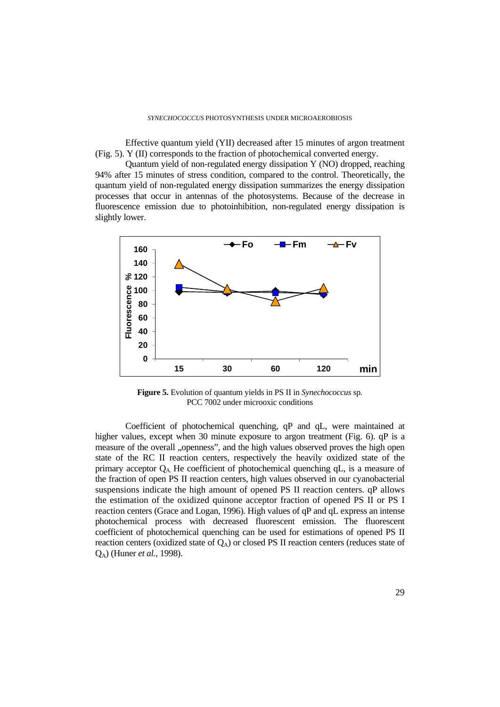Effective quantum yield (YII) decreased after 15 minutes of argon treatment (Fig. 5). Y (II) corresponds to the fraction of photochemical converted energy.

Quantum yield of non-regulated energy dissipation Y (NO) dropped, reaching 94% after 15 minutes of stress condition, compared to the control. Theoretically, the quantum yield of non-regulated energy dissipation summarizes the energy dissipation processes that occur in antennas of the photosystems. Because of the decrease in fluorescence emission due to photoinhibition, non-regulated energy dissipation is slightly lower.



**Figure 5.** Evolution of quantum yields in PS II in *Synechococcus* sp*.*  PCC 7002 under microoxic conditions

Coefficient of photochemical quenching, qP and qL, were maintained at higher values, except when 30 minute exposure to argon treatment (Fig. 6). qP is a measure of the overall "openness", and the high values observed proves the high open state of the RC II reaction centers, respectively the heavily oxidized state of the primary acceptor  $Q_A$ . He coefficient of photochemical quenching qL, is a measure of the fraction of open PS II reaction centers, high values observed in our cyanobacterial suspensions indicate the high amount of opened PS II reaction centers. qP allows the estimation of the oxidized quinone acceptor fraction of opened PS II or PS I reaction centers (Grace and Logan, 1996). High values of qP and qL express an intense photochemical process with decreased fluorescent emission. The fluorescent coefficient of photochemical quenching can be used for estimations of opened PS II reaction centers (oxidized state of  $Q_A$ ) or closed PS II reaction centers (reduces state of QA) (Huner *et al.,* 1998).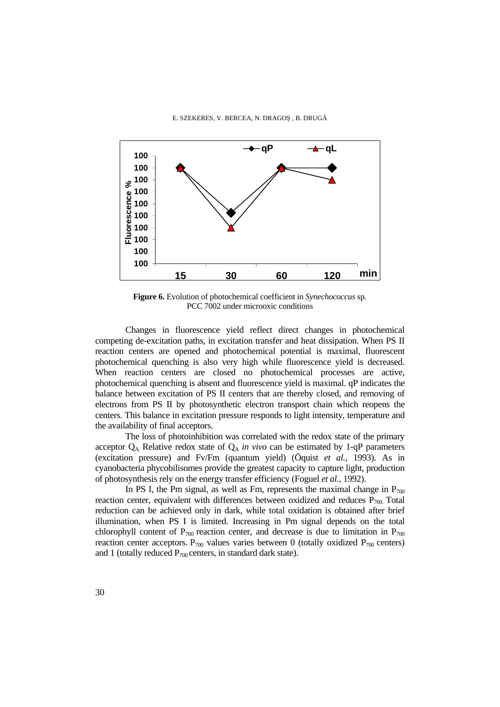

**Figure 6.** Evolution of photochemical coefficient in *Synechococcus* sp*.*  PCC 7002 under microoxic conditions

Changes in fluorescence yield reflect direct changes in photochemical competing de-excitation paths, in excitation transfer and heat dissipation. When PS II reaction centers are opened and photochemical potential is maximal, fluorescent photochemical quenching is also very high while fluorescence yield is decreased. When reaction centers are closed no photochemical processes are active, photochemical quenching is absent and fluorescence yield is maximal. qP indicates the balance between excitation of PS II centers that are thereby closed, and removing of electrons from PS II by photosynthetic electron transport chain which reopens the centers. This balance in excitation pressure responds to light intensity, temperature and the availability of final acceptors.

The loss of photoinhibition was correlated with the redox state of the primary acceptor  $Q_A$ . Relative redox state of  $Q_A$  *in vivo* can be estimated by 1-qP parameters (excitation pressure) and Fv/Fm (quantum yield) (Öquist *et al.,* 1993). As in cyanobacteria phycobilisomes provide the greatest capacity to capture light, production of photosynthesis rely on the energy transfer efficiency (Foguel *et al.,* 1992).

In PS I, the Pm signal, as well as Fm, represents the maximal change in  $P_{700}$ reaction center, equivalent with differences between oxidized and reduces  $\overline{P}_{700}$  Total reduction can be achieved only in dark, while total oxidation is obtained after brief illumination, when PS I is limited. Increasing in Pm signal depends on the total chlorophyll content of  $P_{700}$  reaction center, and decrease is due to limitation in  $P_{700}$ reaction center acceptors.  $P_{700}$  values varies between 0 (totally oxidized  $P_{700}$  centers) and 1 (totally reduced  $P_{700}$  centers, in standard dark state).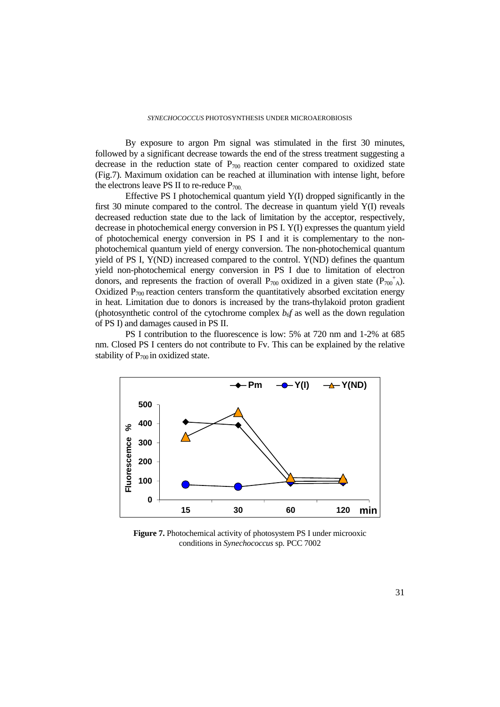By exposure to argon Pm signal was stimulated in the first 30 minutes, followed by a significant decrease towards the end of the stress treatment suggesting a decrease in the reduction state of  $P_{700}$  reaction center compared to oxidized state (Fig.7). Maximum oxidation can be reached at illumination with intense light, before the electrons leave PS II to re-reduce  $P_{700}$ .

Effective PS I photochemical quantum yield Y(I) dropped significantly in the first 30 minute compared to the control. The decrease in quantum yield Y(I) reveals decreased reduction state due to the lack of limitation by the acceptor, respectively, decrease in photochemical energy conversion in PS I. Y(I) expresses the quantum yield of photochemical energy conversion in PS I and it is complementary to the nonphotochemical quantum yield of energy conversion. The non-photochemical quantum yield of PS I, Y(ND) increased compared to the control. Y(ND) defines the quantum yield non-photochemical energy conversion in PS I due to limitation of electron donors, and represents the fraction of overall  $P_{700}$  oxidized in a given state  $(P_{700}^+)_A$ ). Oxidized  $P_{700}$  reaction centers transform the quantitatively absorbed excitation energy in heat. Limitation due to donors is increased by the trans-thylakoid proton gradient (photosynthetic control of the cytochrome complex  $b<sub>of</sub>$  as well as the down regulation of PS I) and damages caused in PS II.

PS I contribution to the fluorescence is low: 5% at 720 nm and 1-2% at 685 nm. Closed PS I centers do not contribute to Fv. This can be explained by the relative stability of  $P_{700}$  in oxidized state.



**Figure 7.** Photochemical activity of photosystem PS I under microoxic conditions in *Synechococcus* sp*.* PCC 7002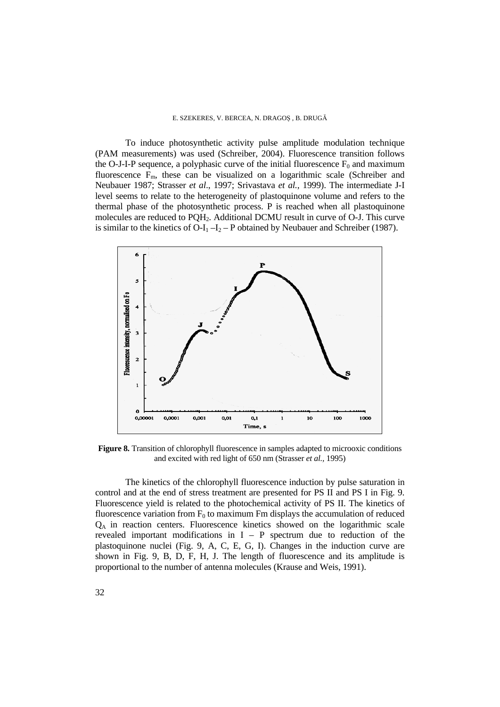#### E. SZEKERES, V. BERCEA, N. DRAGOȘ , B. DRUGĂ

To induce photosynthetic activity pulse amplitude modulation technique (PAM measurements) was used (Schreiber, 2004). Fluorescence transition follows the O-J-I-P sequence, a polyphasic curve of the initial fluorescence  $F_0$  and maximum fluorescence  $\overline{F}_m$ , these can be visualized on a logarithmic scale (Schreiber and Neubauer 1987; Strasser *et al*., 1997; Srivastava *et al.,* 1999). The intermediate J-I level seems to relate to the heterogeneity of plastoquinone volume and refers to the thermal phase of the photosynthetic process. P is reached when all plastoquinone molecules are reduced to PQH2. Additional DCMU result in curve of O-J. This curve is similar to the kinetics of O-I<sub>1</sub> –I<sub>2</sub> – P obtained by Neubauer and Schreiber (1987).



**Figure 8.** Transition of chlorophyll fluorescence in samples adapted to microoxic conditions and excited with red light of 650 nm (Strasser *et al.,* 1995)

The kinetics of the chlorophyll fluorescence induction by pulse saturation in control and at the end of stress treatment are presented for PS II and PS I in Fig. 9. Fluorescence yield is related to the photochemical activity of PS II. The kinetics of fluorescence variation from  $F_0$  to maximum Fm displays the accumulation of reduced QA in reaction centers. Fluorescence kinetics showed on the logarithmic scale revealed important modifications in  $I - P$  spectrum due to reduction of the plastoquinone nuclei (Fig. 9, A, C, E, G, I). Changes in the induction curve are shown in Fig. 9, B, D, F, H, J. The length of fluorescence and its amplitude is proportional to the number of antenna molecules (Krause and Weis, 1991).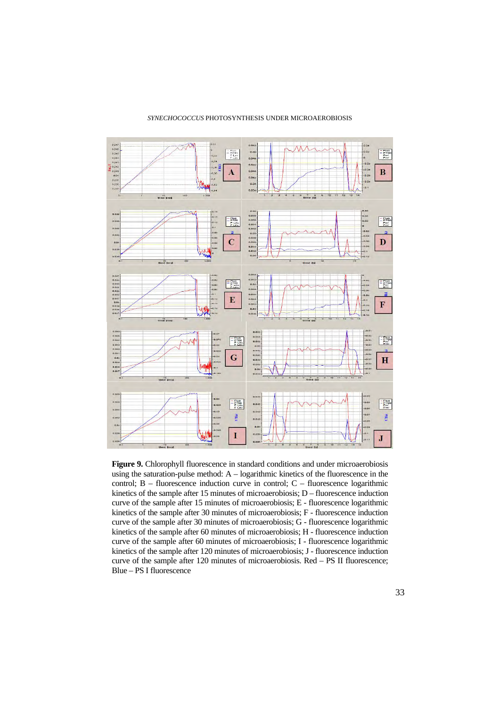

#### *SYNECHOCOCCUS* PHOTOSYNTHESIS UNDER MICROAEROBIOSIS

**Figure 9.** Chlorophyll fluorescence in standard conditions and under microaerobiosis using the saturation-pulse method:  $A -$  logarithmic kinetics of the fluorescence in the control;  $B -$  fluorescence induction curve in control;  $C -$  fluorescence logarithmic kinetics of the sample after 15 minutes of microaerobiosis;  $D -$  fluorescence induction curve of the sample after 15 minutes of microaerobiosis; E - fluorescence logarithmic kinetics of the sample after 30 minutes of microaerobiosis; F - fluorescence induction curve of the sample after 30 minutes of microaerobiosis; G - fluorescence logarithmic kinetics of the sample after 60 minutes of microaerobiosis; H - fluorescence induction curve of the sample after 60 minutes of microaerobiosis; I - fluorescence logarithmic kinetics of the sample after 120 minutes of microaerobiosis; J - fluorescence induction curve of the sample after 120 minutes of microaerobiosis. Red – PS II fluorescence; Blue – PS I fluorescence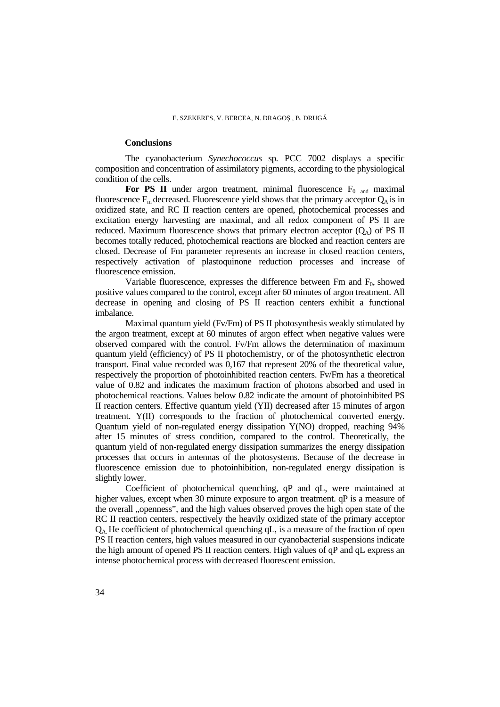## **Conclusions**

The cyanobacterium *Synechococcus* sp*.* PCC 7002 displays a specific composition and concentration of assimilatory pigments, according to the physiological condition of the cells.

For PS II under argon treatment, minimal fluorescence  $F_0$  and maximal fluorescence  $F_m$  decreased. Fluorescence yield shows that the primary acceptor  $Q_A$  is in oxidized state, and RC II reaction centers are opened, photochemical processes and excitation energy harvesting are maximal, and all redox component of PS II are reduced. Maximum fluorescence shows that primary electron acceptor  $(O_A)$  of PS II becomes totally reduced, photochemical reactions are blocked and reaction centers are closed. Decrease of Fm parameter represents an increase in closed reaction centers, respectively activation of plastoquinone reduction processes and increase of fluorescence emission.

Variable fluorescence, expresses the difference between  $Fm$  and  $F<sub>0</sub>$ , showed positive values compared to the control, except after 60 minutes of argon treatment. All decrease in opening and closing of PS II reaction centers exhibit a functional imbalance.

Maximal quantum yield (Fv/Fm) of PS II photosynthesis weakly stimulated by the argon treatment, except at 60 minutes of argon effect when negative values were observed compared with the control. Fv/Fm allows the determination of maximum quantum yield (efficiency) of PS II photochemistry, or of the photosynthetic electron transport. Final value recorded was 0,167 that represent 20% of the theoretical value, respectively the proportion of photoinhibited reaction centers. Fv/Fm has a theoretical value of 0.82 and indicates the maximum fraction of photons absorbed and used in photochemical reactions. Values below 0.82 indicate the amount of photoinhibited PS II reaction centers. Effective quantum yield (YII) decreased after 15 minutes of argon treatment. Y(II) corresponds to the fraction of photochemical converted energy. Quantum yield of non-regulated energy dissipation Y(NO) dropped, reaching 94% after 15 minutes of stress condition, compared to the control. Theoretically, the quantum yield of non-regulated energy dissipation summarizes the energy dissipation processes that occurs in antennas of the photosystems. Because of the decrease in fluorescence emission due to photoinhibition, non-regulated energy dissipation is slightly lower.

Coefficient of photochemical quenching, qP and qL, were maintained at higher values, except when 30 minute exposure to argon treatment.  $qP$  is a measure of the overall "openness", and the high values observed proves the high open state of the RC II reaction centers, respectively the heavily oxidized state of the primary acceptor  $Q_A$ . He coefficient of photochemical quenching qL, is a measure of the fraction of open PS II reaction centers, high values measured in our cyanobacterial suspensions indicate the high amount of opened PS II reaction centers. High values of qP and qL express an intense photochemical process with decreased fluorescent emission.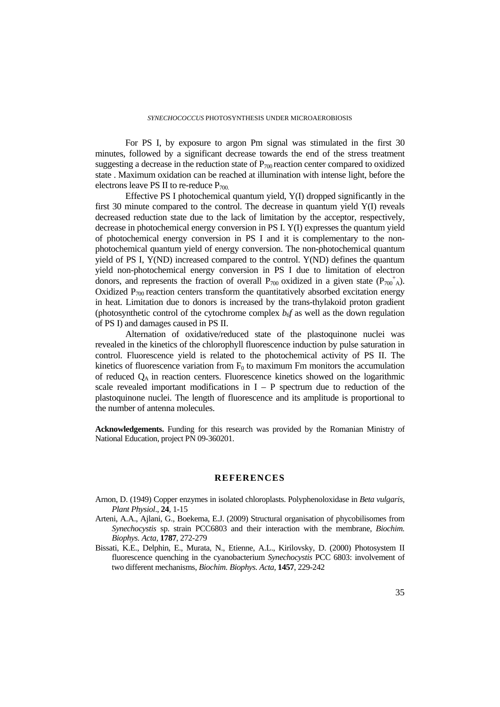For PS I, by exposure to argon Pm signal was stimulated in the first 30 minutes, followed by a significant decrease towards the end of the stress treatment suggesting a decrease in the reduction state of  $P_{700}$  reaction center compared to oxidized state . Maximum oxidation can be reached at illumination with intense light, before the electrons leave PS II to re-reduce  $P_{700}$ .

Effective PS I photochemical quantum yield, Y(I) dropped significantly in the first 30 minute compared to the control. The decrease in quantum yield Y(I) reveals decreased reduction state due to the lack of limitation by the acceptor, respectively, decrease in photochemical energy conversion in PS I. Y(I) expresses the quantum yield of photochemical energy conversion in PS I and it is complementary to the nonphotochemical quantum yield of energy conversion. The non-photochemical quantum yield of PS I, Y(ND) increased compared to the control. Y(ND) defines the quantum yield non-photochemical energy conversion in PS I due to limitation of electron donors, and represents the fraction of overall  $P_{700}$  oxidized in a given state  $(P_{700}^+)_A$ ). Oxidized  $P_{700}$  reaction centers transform the quantitatively absorbed excitation energy in heat. Limitation due to donors is increased by the trans-thylakoid proton gradient (photosynthetic control of the cytochrome complex  $b<sub>of</sub>$  as well as the down regulation of PS I) and damages caused in PS II.

Alternation of oxidative/reduced state of the plastoquinone nuclei was revealed in the kinetics of the chlorophyll fluorescence induction by pulse saturation in control. Fluorescence yield is related to the photochemical activity of PS II. The kinetics of fluorescence variation from  $F_0$  to maximum Fm monitors the accumulation of reduced  $Q_A$  in reaction centers. Fluorescence kinetics showed on the logarithmic scale revealed important modifications in  $I - P$  spectrum due to reduction of the plastoquinone nuclei. The length of fluorescence and its amplitude is proportional to the number of antenna molecules.

**Acknowledgements.** Funding for this research was provided by the Romanian Ministry of National Education, project PN 09-360201.

## **REFERENCES**

- Arnon, D. (1949) Copper enzymes in isolated chloroplasts. Polyphenoloxidase in *Beta vulgaris*, *Plant Physiol*., **24***,* 1-15
- Arteni, A.A., Ajlani, G., Boekema, E.J. (2009) Structural organisation of phycobilisomes from *Synechocystis* sp. strain PCC6803 and their interaction with the membrane, *Biochim. Biophys. Acta,* **1787**, 272-279
- Bissati, K.E., Delphin, E., Murata, N., Etienne, A.L., Kirilovsky, D. (2000) Photosystem II fluorescence quenching in the cyanobacterium *Synechocystis* PCC 6803: involvement of two different mechanisms, *Biochim. Biophys. Acta,* **1457**, 229-242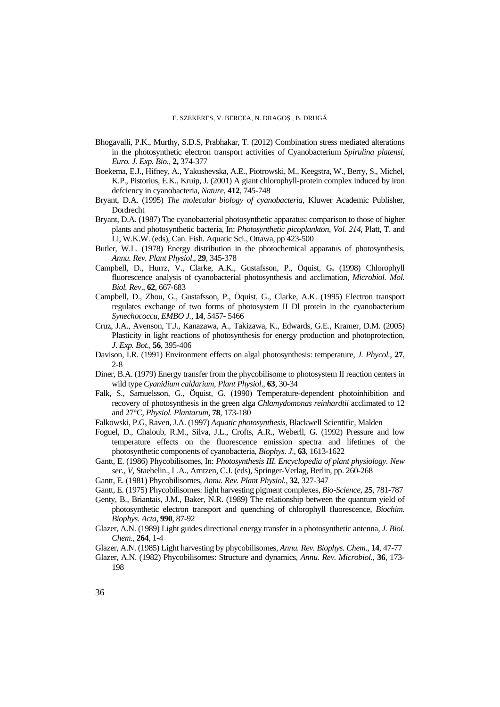- Bhogavalli, P.K., Murthy, S.D.S, Prabhakar, T. (2012) Combination stress mediated alterations in the photosynthetic electron transport activities of Cyanobacterium *Spirulina platensi, Euro. J. Exp. Bio.,* **2,** 374-377
- Boekema, E.J., Hifney, A., Yakushevska, A.E., Piotrowski, M., Keegstra, W., Berry, S., Michel, K.P., Pistorius, E.K., Kruip, J. (2001) A giant chlorophyll-protein complex induced by iron defciency in cyanobacteria, *Nature*, **412**, 745-748
- Bryant, D.A. (1995) *The molecular biology of cyanobacteria*, Kluwer Academic Publisher, Dordrecht
- Bryant, D.A. (1987) The cyanobacterial photosynthetic apparatus: comparison to those of higher plants and photosynthetic bacteria, In: *Photosynthetic picoplankton*, *Vol. 214*, Platt, T. and Li, W.K.W. (eds), Can. Fish. Aquatic Sci., Ottawa, pp 423-500
- Butler, W.L. (1978) Energy distribution in the photochemical apparatus of photosynthesis, *Annu. Rev. Plant Physiol*., **29**, 345-378
- Campbell, D., Hurrz, V., Clarke, A.K., Gustafsson, P., Öquist, G**.** (1998) Chlorophyll fluorescence analysis of cyanobacterial photosynthesis and acclimation, *Microbiol. Mol. Biol. Rev*., **62**, 667-683
- Campbell, D., Zhou, G., Gustafsson, P., Öquist, G., Clarke, A.K. (1995) Electron transport regulates exchange of two forms of photosystem II Dl protein in the cyanobacterium *Synechococcu, EMBO J.,* **14**, 5457- 5466
- Cruz, J.A., Avenson, T.J., Kanazawa, A., Takizawa, K., Edwards, G.E., Kramer, D.M. (2005) Plasticity in light reactions of photosynthesis for energy production and photoprotection, *J. Exp. Bot.,* **56**, 395-406
- Davison, I.R. (1991) Environment effects on algal photosynthesis: temperature, *J. Phycol.*, **27**, 2-8
- Diner, B.A. (1979) Energy transfer from the phycobilisome to photosystem II reaction centers in wild type *Cyanidium caldarium*, *Plant Physiol*., **63**, 30-34
- Falk, S., Samuelsson, G., Öquist, G. (1990) Temperature-dependent photoinhibition and recovery of photosynthesis in the green alga *Chlamydomonas reinhardtii* acclimated to 12 and 27°C, *Physiol. Plantarum*, **78**, 173-180
- Falkowski, P.G, Raven, J.A. (1997) *Aquatic photosynthesis*, Blackwell Scientific, Malden
- Foguel, D., Chaloub, R.M., Silva, J.L., Crofts, A.R., Weberll, G. (1992) Pressure and low temperature effects on the fluorescence emission spectra and lifetimes of the photosynthetic components of cyanobacteria, *Biophys. J*., **63**, 1613-1622
- Gantt, E. (1986) Phycobilisomes, In: *Photosynthesis III. Encyclopedia of plant physiology. New ser., V,* Staehelin., L.A., Arntzen, C.J. (eds), Springer-Verlag, Berlin, pp. 260-268
- Gantt, E. (1981) Phycobilisomes, *Annu. Rev. Plant Physiol.*, **32**, 327-347
- Gantt, E. (1975) Phycobilisomes: light harvesting pigment complexes, *Bio-Science,* **25**, 781-787
- Genty, B., Briantais, J.M., Baker, N.R. (1989) The relationship between the quantum yield of photosynthetic electron transport and quenching of chlorophyll fluorescence, *Biochim. Biophys. Acta*, **990**, 87-92
- Glazer, A.N. (1989) Light guides directional energy transfer in a photosynthetic antenna, *J. Biol. Chem.,* **264**, 1-4
- Glazer, A.N. (1985) Light harvesting by phycobilisomes, *Annu. Rev. Biophys. Chem*., **14**, 47-77
- Glazer, A.N. (1982) Phycobilisomes: Structure and dynamics, *Annu. Rev. Microbiol.*, **36**, 173- 198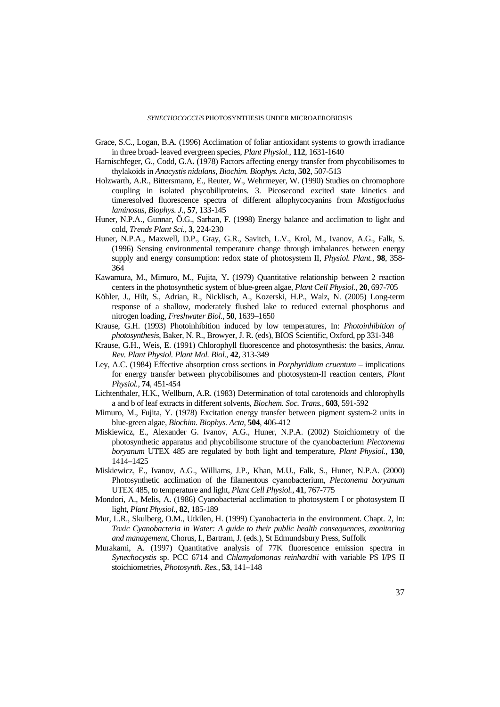- Grace, S.C., Logan, B.A. (1996) Acclimation of foliar antioxidant systems to growth irradiance in three broad- leaved evergreen species, *Plant Physiol.*, **112**, 1631-1640
- Harnischfeger, G., Codd, G.A**.** (1978) Factors affecting energy transfer from phycobilisomes to thylakoids in *Anacystis nidulans*, *Biochim. Biophys. Acta*, **502**, 507-513
- Holzwarth, A.R., Bittersmann, E., Reuter, W., Wehrmeyer, W. (1990) Studies on chromophore coupling in isolated phycobiliproteins. 3. Picosecond excited state kinetics and timeresolved fluorescence spectra of different allophycocyanins from *Mastigocladus laminosus*, *Biophys. J.,* **57**, 133-145
- Huner, N.P.A., Gunnar, Ö.G., Sarhan, F. (1998) Energy balance and acclimation to light and cold, *Trends Plant Sci.*, **3**, 224-230
- Huner, N.P.A., Maxwell, D.P., Gray, G.R., Savitch, L.V., Krol, M., Ivanov, A.G., Falk, S. (1996) Sensing environmental temperature change through imbalances between energy supply and energy consumption: redox state of photosystem II, *Physiol. Plant.,* **98**, 358- 364
- Kawamura, M., Mimuro, M., Fujita, Y**.** (1979) Quantitative relationship between 2 reaction centers in the photosynthetic system of blue-green algae, *Plant Cell Physiol.,* **20**, 697-705
- Köhler, J., Hilt, S., Adrian, R., Nicklisch, A., Kozerski, H.P., Walz, N. (2005) Long-term response of a shallow, moderately flushed lake to reduced external phosphorus and nitrogen loading, *Freshwater Biol*., **50**, 1639–1650
- Krause, G.H. (1993) Photoinhibition induced by low temperatures, In: *Photoinhibition of photosynthesis*, Baker, N. R., Browyer, J. R. (eds), BIOS Scientific, Oxford, pp 331-348
- Krause, G.H., Weis, E. (1991) Chlorophyll fluorescence and photosynthesis: the basics, *Annu. Rev. Plant Physiol. Plant Mol. Biol.*, **42**, 313-349
- Ley, A.C. (1984) Effective absorption cross sections in *Porphyridium cruentum*  implications for energy transfer between phycobilisomes and photosystem-II reaction centers, *Plant Physiol.,* **74**, 451-454
- Lichtenthaler, H.K., Wellburn, A.R. (1983) Determination of total carotenoids and chlorophylls a and b of leaf extracts in different solvents, *Biochem. Soc. Trans.,* **603**, 591-592
- Mimuro, M., Fujita, Y. (1978) Excitation energy transfer between pigment system-2 units in blue-green algae, *Biochim. Biophys. Acta*, **504**, 406-412
- Miskiewicz, E., Alexander G. Ivanov, A.G., Huner, N.P.A. (2002) Stoichiometry of the photosynthetic apparatus and phycobilisome structure of the cyanobacterium *Plectonema boryanum* UTEX 485 are regulated by both light and temperature, *Plant Physiol.,* **130**, 1414–1425
- Miskiewicz, E., Ivanov, A.G., Williams, J.P., Khan, M.U., Falk, S., Huner, N.P.A. (2000) Photosynthetic acclimation of the filamentous cyanobacterium, *Plectonema boryanum*  UTEX 485, to temperature and light, *Plant Cell Physiol.,* **41**, 767-775
- Mondori, A., Melis, A. (1986) Cyanobacterial acclimation to photosystem I or photosystem II light, *Plant Physiol.,* **82**, 185-189
- Mur, L.R., Skulberg, O.M., Utkilen, H. (1999) Cyanobacteria in the environment. Chapt. 2, In: *Toxic Cyanobacteria in Water: A guide to their public health consequences, monitoring and management*, Chorus, I., Bartram, J. (eds.), St Edmundsbury Press, Suffolk
- Murakami, A. (1997) Quantitative analysis of 77K fluorescence emission spectra in *Synechocystis* sp. PCC 6714 and *Chlamydomonas reinhardtii* with variable PS I/PS II stoichiometries, *Photosynth. Res.,* **53**, 141–148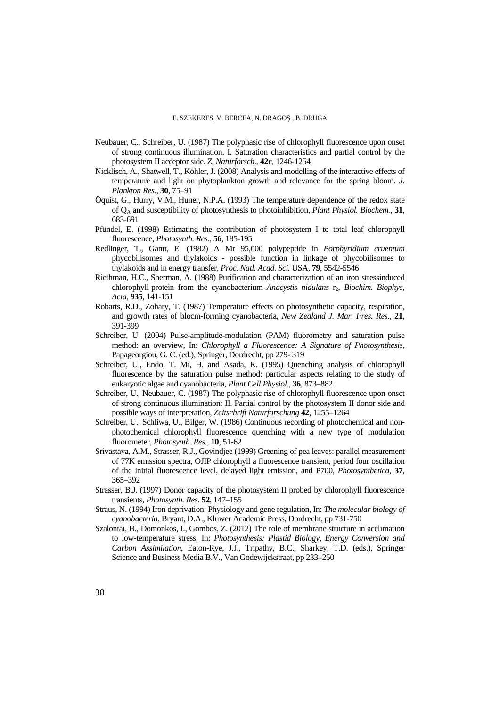- Neubauer, C., Schreiber, U. (1987) The polyphasic rise of chlorophyll fluorescence upon onset of strong continuous illumination. I. Saturation characteristics and partial control by the photosystem II acceptor side. *Z, Naturforsch*., **42c**, 1246-1254
- Nicklisch, A., Shatwell, T., Köhler, J. (2008) Analysis and modelling of the interactive effects of temperature and light on phytoplankton growth and relevance for the spring bloom. *J. Plankton Res*., **30**, 75–91
- Öquist, G., Hurry, V.M., Huner, N.P.A. (1993) The temperature dependence of the redox state of QA and susceptibility of photosynthesis to photoinhibition, *Plant Physiol. Biochem.,* **31**, 683-691
- Pfündel, E. (1998) Estimating the contribution of photosystem I to total leaf chlorophyll fluorescence, *Photosynth. Res.,* **56**, 185-195
- Redlinger, T., Gantt, E. (1982) A Mr 95,000 polypeptide in *Porphyridium cruentum*  phycobilisomes and thylakoids - possible function in linkage of phycobilisomes to thylakoids and in energy transfer, *Proc. Natl. Acad. Sci.* USA, **79**, 5542-5546
- Riethman, H.C., Sherman, A. (1988) Purification and characterization of an iron stressinduced chlorophyll-protein from the cyanobacterium *Anacystis nidulans* **r**<sub>2</sub>, *Biochim. Biophys, Acta*, **935**, 141-151
- Robarts, R.D., Zohary, T. (1987) Temperature effects on photosynthetic capacity, respiration, and growth rates of blocm-forming cyanobacteria, *New Zealand J. Mar. Fres. Res.,* **21**, 391-399
- Schreiber, U. (2004) Pulse-amplitude-modulation (PAM) fluorometry and saturation pulse method: an overview, In: *Chlorophyll a Fluorescence: A Signature of Photosynthesis,* Papageorgiou, G. C. (ed.), Springer, Dordrecht, pp 279- 319
- Schreiber, U., Endo, T. Mi, H. and Asada, K. (1995) Quenching analysis of chlorophyll fluorescence by the saturation pulse method: particular aspects relating to the study of eukaryotic algae and cyanobacteria, *Plant Cell Physiol*., **36**, 873–882
- Schreiber, U., Neubauer, C. (1987) The polyphasic rise of chlorophyll fluorescence upon onset of strong continuous illumination: II. Partial control by the photosystem II donor side and possible ways of interpretation, *Zeitschrift Naturforschung* **42**, 1255–1264
- Schreiber, U., Schliwa, U., Bilger, W. (1986) Continuous recording of photochemical and nonphotochemical chlorophyll fluorescence quenching with a new type of modulation fluorometer, *Photosynth. Res.,* **10**, 51-62
- Srivastava, A.M., Strasser, R.J., Govindjee (1999) Greening of pea leaves: parallel measurement of 77K emission spectra, OJIP chlorophyll a fluorescence transient, period four oscillation of the initial fluorescence level, delayed light emission, and P700, *Photosynthetica*, **37**, 365–392
- Strasser, B.J. (1997) Donor capacity of the photosystem II probed by chlorophyll fluorescence transients, *Photosynth. Res.* **52**, 147–155
- Straus, N. (1994) Iron deprivation: Physiology and gene regulation, In: *The molecular biology of cyanobacteria,* Bryant, D.A., Kluwer Academic Press, Dordrecht, pp 731-750
- Szalontai, B., Domonkos, I., Gombos, Z. (2012) The role of membrane structure in acclimation to low-temperature stress, In: *Photosynthesis: Plastid Biology, Energy Conversion and Carbon Assimilation*, Eaton-Rye, J.J., Tripathy, B.C., Sharkey, T.D. (eds.), Springer Science and Business Media B.V., Van Godewijckstraat, pp 233–250